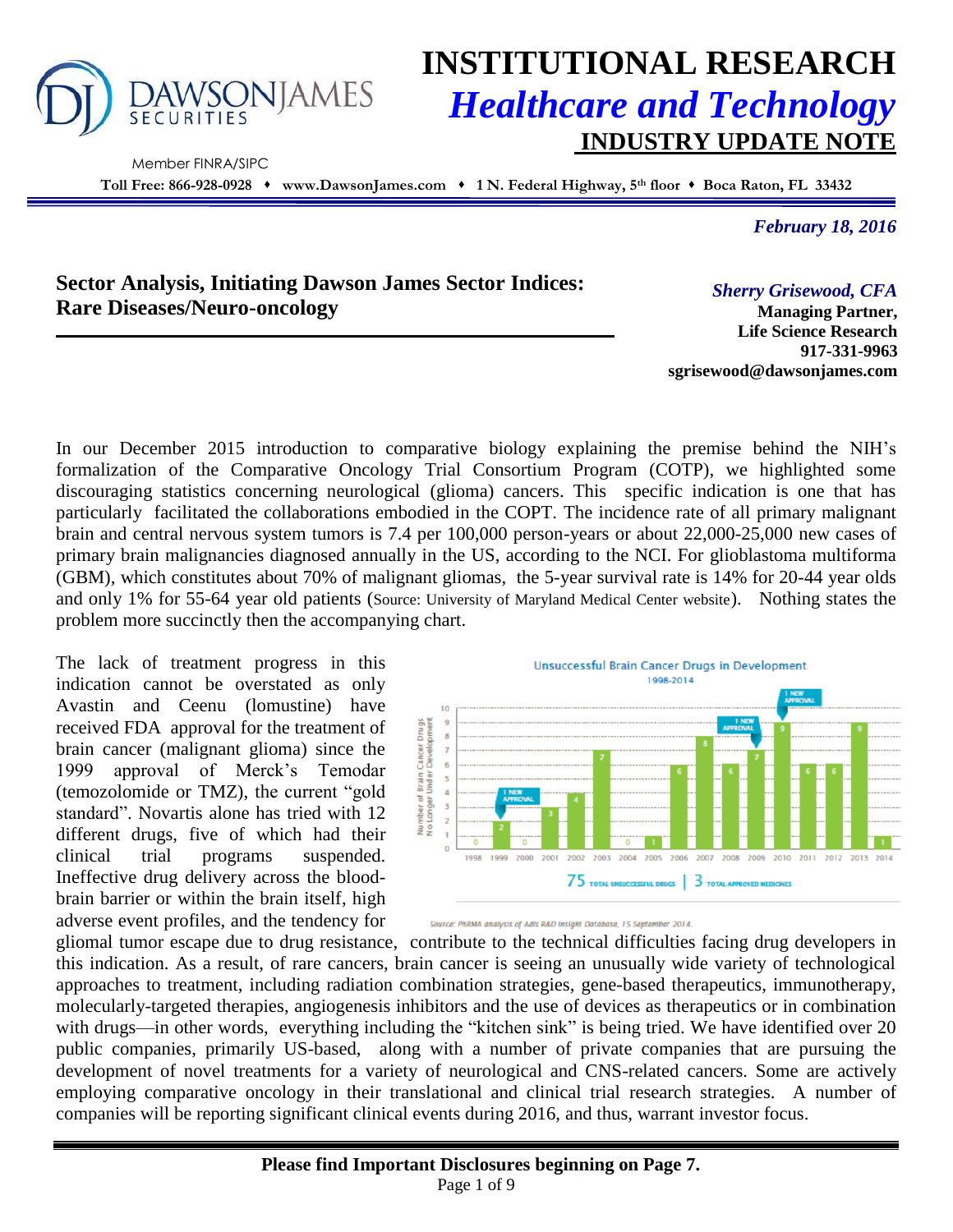

Member FINRA/SIPC

# **INSTITUTIONAL RESEARCH** *Healthcare and Technology* **INDUSTRY UPDATE NOTE**

**Toll Free: 866-928-0928 www.DawsonJames.com 1 N. Federal Highway, 5th floor Boca Raton, FL 33432**

*February 18, 2016*

## **Sector Analysis, Initiating Dawson James Sector Indices: Rare Diseases/Neuro-oncology**

*Sherry Grisewood, CFA* **Managing Partner,** 

**Life Science Research 917-331-9963 sgrisewood@dawsonjames.com**

In our December 2015 introduction to comparative biology explaining the premise behind the NIH's formalization of the Comparative Oncology Trial Consortium Program (COTP), we highlighted some discouraging statistics concerning neurological (glioma) cancers. This specific indication is one that has particularly facilitated the collaborations embodied in the COPT. The incidence rate of all primary malignant brain and central nervous system tumors is 7.4 per 100,000 person-years or about 22,000-25,000 new cases of primary brain malignancies diagnosed annually in the US, according to the NCI. For glioblastoma multiforma (GBM), which constitutes about 70% of malignant gliomas, the 5-year survival rate is 14% for 20-44 year olds and only 1% for 55-64 year old patients (Source: University of Maryland Medical Center website). Nothing states the problem more succinctly then the accompanying chart.

The lack of treatment progress in this indication cannot be overstated as only Avastin and Ceenu (lomustine) have received FDA approval for the treatment of brain cancer (malignant glioma) since the 1999 approval of Merck's Temodar (temozolomide or TMZ), the current "gold standard". Novartis alone has tried with 12 different drugs, five of which had their clinical trial programs suspended. Ineffective drug delivery across the bloodbrain barrier or within the brain itself, high adverse event profiles, and the tendency for



Source: PhRMA analysis of Adis R&D Insight Database, 15 September 2014.

gliomal tumor escape due to drug resistance, contribute to the technical difficulties facing drug developers in this indication. As a result, of rare cancers, brain cancer is seeing an unusually wide variety of technological approaches to treatment, including radiation combination strategies, gene-based therapeutics, immunotherapy, molecularly-targeted therapies, angiogenesis inhibitors and the use of devices as therapeutics or in combination with drugs—in other words, everything including the "kitchen sink" is being tried. We have identified over 20 public companies, primarily US-based, along with a number of private companies that are pursuing the development of novel treatments for a variety of neurological and CNS-related cancers. Some are actively employing comparative oncology in their translational and clinical trial research strategies. A number of companies will be reporting significant clinical events during 2016, and thus, warrant investor focus.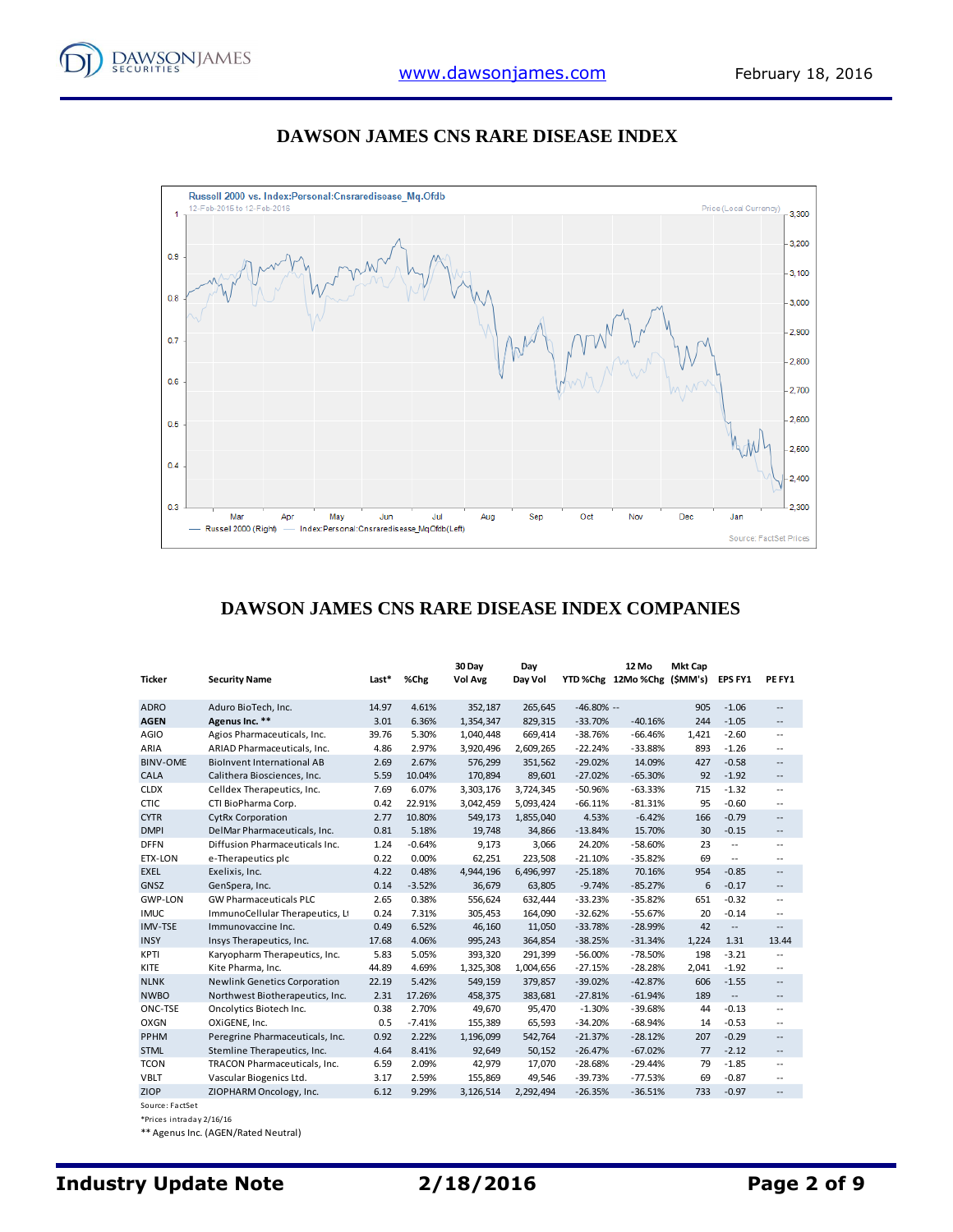



#### **DAWSON JAMES CNS RARE DISEASE INDEX**

## **DAWSON JAMES CNS RARE DISEASE INDEX COMPANIES**

|                 |                                     |       |          | 30 Day    | Day       |              | 12 Mo                     | <b>Mkt Cap</b> |                          |                          |
|-----------------|-------------------------------------|-------|----------|-----------|-----------|--------------|---------------------------|----------------|--------------------------|--------------------------|
| <b>Ticker</b>   | <b>Security Name</b>                | Last* | %Chg     | Vol Avg   | Day Vol   |              | YTD%Chg 12Mo%Chg (\$MM's) |                | <b>EPS FY1</b>           | PE FY1                   |
| <b>ADRO</b>     | Aduro BioTech, Inc.                 | 14.97 | 4.61%    | 352,187   | 265,645   | $-46.80\% -$ |                           | 905            | $-1.06$                  | --                       |
| <b>AGEN</b>     | Agenus Inc. **                      | 3.01  | 6.36%    | 1,354,347 | 829,315   | $-33.70%$    | $-40.16%$                 | 244            | $-1.05$                  | --                       |
| <b>AGIO</b>     | Agios Pharmaceuticals, Inc.         | 39.76 | 5.30%    | 1,040,448 | 669,414   | $-38.76%$    | $-66.46%$                 | 1,421          | $-2.60$                  | --                       |
| ARIA            | ARIAD Pharmaceuticals, Inc.         | 4.86  | 2.97%    | 3,920,496 | 2,609,265 | $-22.24%$    | $-33.88%$                 | 893            | $-1.26$                  | --                       |
| <b>BINV-OME</b> | <b>BioInvent International AB</b>   | 2.69  | 2.67%    | 576,299   | 351,562   | $-29.02%$    | 14.09%                    | 427            | $-0.58$                  | --                       |
| CALA            | Calithera Biosciences, Inc.         | 5.59  | 10.04%   | 170,894   | 89,601    | $-27.02%$    | $-65.30%$                 | 92             | $-1.92$                  | $\overline{\phantom{a}}$ |
| <b>CLDX</b>     | Celldex Therapeutics, Inc.          | 7.69  | 6.07%    | 3,303,176 | 3,724,345 | $-50.96%$    | $-63.33%$                 | 715            | $-1.32$                  | --                       |
| <b>CTIC</b>     | CTI BioPharma Corp.                 | 0.42  | 22.91%   | 3,042,459 | 5,093,424 | $-66.11%$    | $-81.31%$                 | 95             | $-0.60$                  | --                       |
| <b>CYTR</b>     | <b>CytRx Corporation</b>            | 2.77  | 10.80%   | 549,173   | 1,855,040 | 4.53%        | $-6.42%$                  | 166            | $-0.79$                  | --                       |
| <b>DMPI</b>     | DelMar Pharmaceuticals, Inc.        | 0.81  | 5.18%    | 19,748    | 34,866    | $-13.84%$    | 15.70%                    | 30             | $-0.15$                  | --                       |
| <b>DFFN</b>     | Diffusion Pharmaceuticals Inc.      | 1.24  | $-0.64%$ | 9,173     | 3,066     | 24.20%       | $-58.60%$                 | 23             | $\omega$ .               | --                       |
| <b>ETX-LON</b>  | e-Therapeutics plc                  | 0.22  | 0.00%    | 62,251    | 223,508   | $-21.10%$    | $-35.82%$                 | 69             | $\sim$ $\sim$            | --                       |
| <b>EXEL</b>     | Exelixis, Inc.                      | 4.22  | 0.48%    | 4,944,196 | 6,496,997 | $-25.18%$    | 70.16%                    | 954            | $-0.85$                  | --                       |
| GNSZ            | GenSpera, Inc.                      | 0.14  | $-3.52%$ | 36,679    | 63,805    | $-9.74%$     | $-85.27%$                 | 6              | $-0.17$                  | --                       |
| <b>GWP-LON</b>  | <b>GW Pharmaceuticals PLC</b>       | 2.65  | 0.38%    | 556,624   | 632,444   | $-33.23%$    | $-35.82%$                 | 651            | $-0.32$                  | --                       |
| <b>IMUC</b>     | ImmunoCellular Therapeutics, Lt     | 0.24  | 7.31%    | 305,453   | 164,090   | $-32.62%$    | $-55.67%$                 | 20             | $-0.14$                  | --                       |
| <b>IMV-TSE</b>  | Immunovaccine Inc.                  | 0.49  | 6.52%    | 46,160    | 11,050    | $-33.78%$    | $-28.99%$                 | 42             | $\overline{\phantom{a}}$ | --                       |
| <b>INSY</b>     | Insys Therapeutics, Inc.            | 17.68 | 4.06%    | 995,243   | 364,854   | $-38.25%$    | $-31.34%$                 | 1,224          | 1.31                     | 13.44                    |
| <b>KPTI</b>     | Karyopharm Therapeutics, Inc.       | 5.83  | 5.05%    | 393,320   | 291,399   | $-56.00%$    | $-78.50%$                 | 198            | $-3.21$                  | $\overline{a}$           |
| KITE            | Kite Pharma, Inc.                   | 44.89 | 4.69%    | 1,325,308 | 1,004,656 | $-27.15%$    | $-28.28%$                 | 2,041          | $-1.92$                  | --                       |
| <b>NLNK</b>     | <b>Newlink Genetics Corporation</b> | 22.19 | 5.42%    | 549,159   | 379,857   | $-39.02%$    | $-42.87%$                 | 606            | $-1.55$                  | --                       |
| <b>NWBO</b>     | Northwest Biotherapeutics, Inc.     | 2.31  | 17.26%   | 458,375   | 383,681   | $-27.81%$    | $-61.94%$                 | 189            | $\overline{\phantom{a}}$ | --                       |
| ONC-TSE         | Oncolytics Biotech Inc.             | 0.38  | 2.70%    | 49,670    | 95,470    | $-1.30%$     | $-39.68%$                 | 44             | $-0.13$                  | $\overline{a}$           |
| <b>OXGN</b>     | OXiGENE, Inc.                       | 0.5   | $-7.41%$ | 155,389   | 65,593    | $-34.20%$    | $-68.94%$                 | 14             | $-0.53$                  | --                       |
| PPHM            | Peregrine Pharmaceuticals, Inc.     | 0.92  | 2.22%    | 1,196,099 | 542,764   | $-21.37%$    | $-28.12%$                 | 207            | $-0.29$                  | --                       |
| <b>STML</b>     | Stemline Therapeutics, Inc.         | 4.64  | 8.41%    | 92,649    | 50,152    | $-26.47%$    | $-67.02%$                 | 77             | $-2.12$                  | $- -$                    |
| <b>TCON</b>     | TRACON Pharmaceuticals, Inc.        | 6.59  | 2.09%    | 42,979    | 17,070    | $-28.68%$    | $-29.44%$                 | 79             | $-1.85$                  | --                       |
| <b>VBLT</b>     | Vascular Biogenics Ltd.             | 3.17  | 2.59%    | 155,869   | 49,546    | $-39.73%$    | $-77.53%$                 | 69             | $-0.87$                  | --                       |
| ZIOP            | ZIOPHARM Oncology, Inc.             | 6.12  | 9.29%    | 3,126,514 | 2,292,494 | $-26.35%$    | $-36.51%$                 | 733            | $-0.97$                  | --                       |

Source: FactSet

\*Prices intraday 2/16/16

\*\* Agenus Inc. (AGEN/Rated Neutral)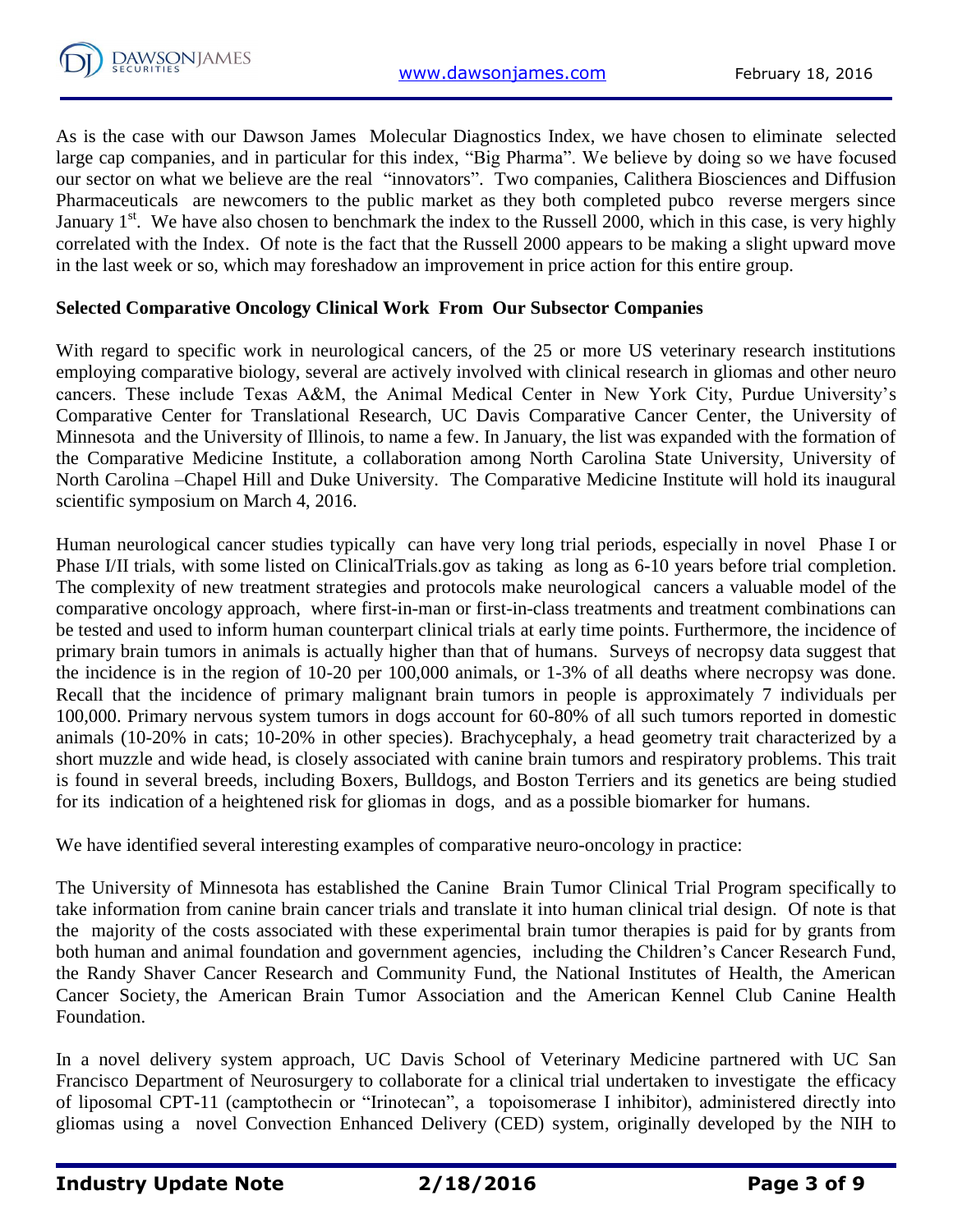

As is the case with our Dawson James Molecular Diagnostics Index, we have chosen to eliminate selected large cap companies, and in particular for this index, "Big Pharma". We believe by doing so we have focused our sector on what we believe are the real "innovators". Two companies, Calithera Biosciences and Diffusion Pharmaceuticals are newcomers to the public market as they both completed pubco reverse mergers since January 1<sup>st</sup>. We have also chosen to benchmark the index to the Russell 2000, which in this case, is very highly correlated with the Index. Of note is the fact that the Russell 2000 appears to be making a slight upward move in the last week or so, which may foreshadow an improvement in price action for this entire group.

## **Selected Comparative Oncology Clinical Work From Our Subsector Companies**

With regard to specific work in neurological cancers, of the 25 or more US veterinary research institutions employing comparative biology, several are actively involved with clinical research in gliomas and other neuro cancers. These include Texas A&M, the Animal Medical Center in New York City, Purdue University's Comparative Center for Translational Research, UC Davis Comparative Cancer Center, the University of Minnesota and the University of Illinois, to name a few. In January, the list was expanded with the formation of the Comparative Medicine Institute, a collaboration among North Carolina State University, University of North Carolina –Chapel Hill and Duke University. The Comparative Medicine Institute will hold its inaugural scientific symposium on March 4, 2016.

Human neurological cancer studies typically can have very long trial periods, especially in novel Phase I or Phase I/II trials, with some listed on ClinicalTrials.gov as taking as long as 6-10 years before trial completion. The complexity of new treatment strategies and protocols make neurological cancers a valuable model of the comparative oncology approach, where first-in-man or first-in-class treatments and treatment combinations can be tested and used to inform human counterpart clinical trials at early time points. Furthermore, the incidence of primary brain tumors in animals is actually higher than that of humans. Surveys of necropsy data suggest that the incidence is in the region of 10-20 per 100,000 animals, or 1-3% of all deaths where necropsy was done. Recall that the incidence of primary malignant brain tumors in people is approximately 7 individuals per 100,000. Primary nervous system tumors in dogs account for 60-80% of all such tumors reported in domestic animals (10-20% in cats; 10-20% in other species). Brachycephaly, a head geometry trait characterized by a short muzzle and wide head, is closely associated with canine brain tumors and respiratory problems. This trait is found in several breeds, including Boxers, Bulldogs, and Boston Terriers and its genetics are being studied for its indication of a heightened risk for gliomas in dogs, and as a possible biomarker for humans.

We have identified several interesting examples of comparative neuro-oncology in practice:

The University of Minnesota has established the Canine Brain Tumor Clinical Trial Program specifically to take information from canine brain cancer trials and translate it into human clinical trial design. Of note is that the majority of the costs associated with these experimental brain tumor therapies is paid for by grants from both human and animal foundation and government agencies, including the Children's Cancer Research Fund, the Randy Shaver Cancer Research and Community Fund, the National Institutes of Health, the American Cancer Society, the American Brain Tumor Association and the American Kennel Club Canine Health Foundation.

In a novel delivery system approach, UC Davis School of Veterinary Medicine partnered with UC San Francisco Department of Neurosurgery to collaborate for a clinical trial undertaken to investigate the efficacy of liposomal CPT-11 (camptothecin or "Irinotecan", a topoisomerase I inhibitor), administered directly into gliomas using a novel Convection Enhanced Delivery (CED) system, originally developed by the NIH to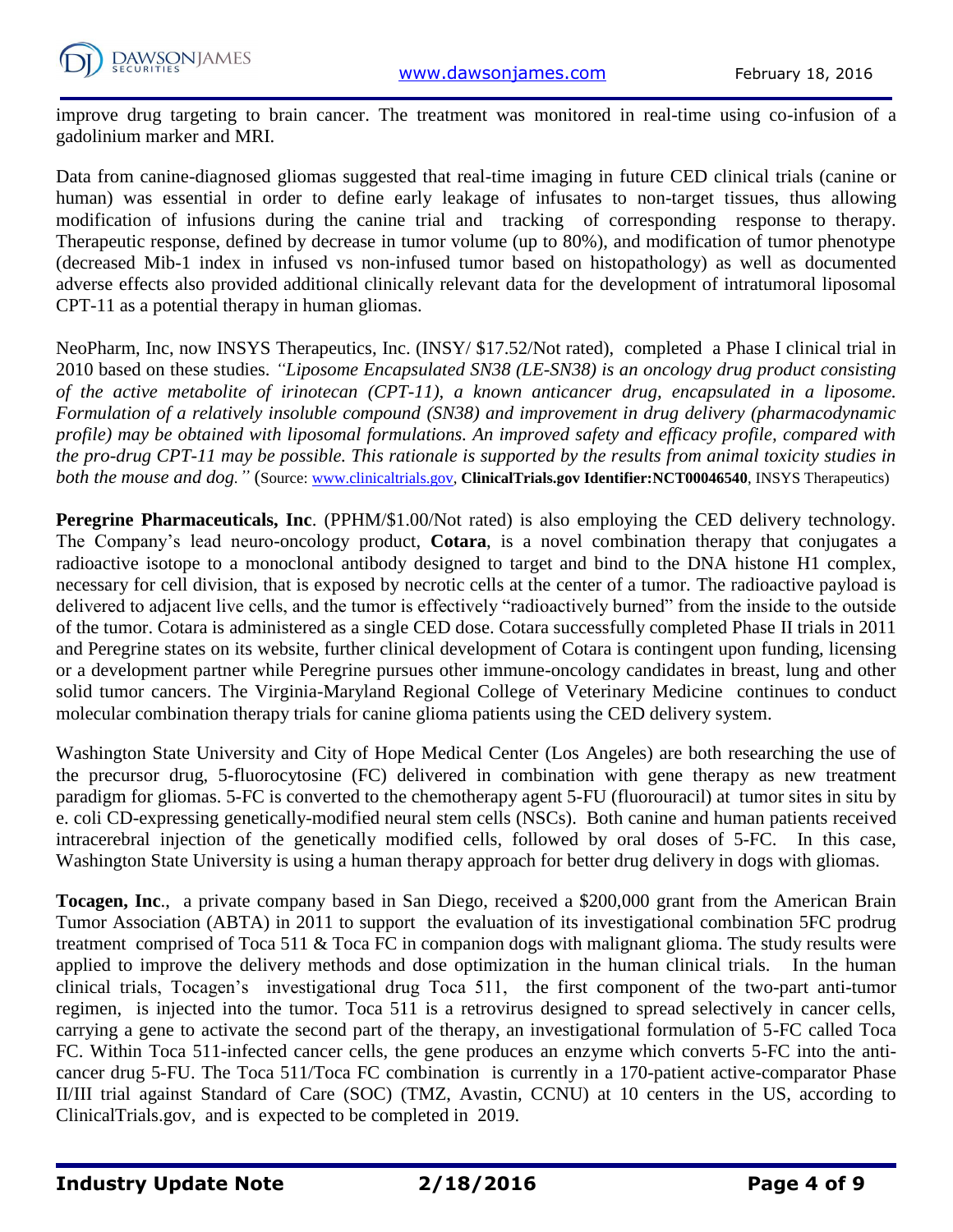

improve drug targeting to brain cancer. The treatment was monitored in real-time using co-infusion of a gadolinium marker and MRI.

Data from canine-diagnosed gliomas suggested that real-time imaging in future CED clinical trials (canine or human) was essential in order to define early leakage of infusates to non-target tissues, thus allowing modification of infusions during the canine trial and tracking of corresponding response to therapy. Therapeutic response, defined by decrease in tumor volume (up to 80%), and modification of tumor phenotype (decreased Mib-1 index in infused vs non-infused tumor based on histopathology) as well as documented adverse effects also provided additional clinically relevant data for the development of intratumoral liposomal CPT-11 as a potential therapy in human gliomas.

NeoPharm, Inc, now INSYS Therapeutics, Inc. (INSY/ \$17.52/Not rated), completed a Phase I clinical trial in 2010 based on these studies. *"Liposome Encapsulated SN38 (LE-SN38) is an oncology drug product consisting of the active metabolite of irinotecan (CPT-11), a known anticancer drug, encapsulated in a liposome. Formulation of a relatively insoluble compound (SN38) and improvement in drug delivery (pharmacodynamic profile) may be obtained with liposomal formulations. An improved safety and efficacy profile, compared with the pro-drug CPT-11 may be possible. This rationale is supported by the results from animal toxicity studies in both the mouse and dog.*" (Source: [www.clinicaltrials.gov,](http://www.clinicaltrials.gov/) **ClinicalTrials.gov Identifier:NCT00046540**, INSYS Therapeutics)

**Peregrine Pharmaceuticals, Inc**. (PPHM/\$1.00/Not rated) is also employing the CED delivery technology. The Company's lead neuro-oncology product, **Cotara**, is a novel combination therapy that conjugates a radioactive isotope to a monoclonal antibody designed to target and bind to the DNA histone H1 complex, necessary for cell division, that is exposed by necrotic cells at the center of a tumor. The radioactive payload is delivered to adjacent live cells, and the tumor is effectively "radioactively burned" from the inside to the outside of the tumor. Cotara is administered as a single CED dose. Cotara successfully completed Phase II trials in 2011 and Peregrine states on its website, further clinical development of Cotara is contingent upon funding, licensing or a development partner while Peregrine pursues other immune-oncology candidates in breast, lung and other solid tumor cancers. The Virginia-Maryland Regional College of Veterinary Medicine continues to conduct molecular combination therapy trials for canine glioma patients using the CED delivery system.

Washington State University and City of Hope Medical Center (Los Angeles) are both researching the use of the precursor drug, 5-fluorocytosine (FC) delivered in combination with gene therapy as new treatment paradigm for gliomas. 5-FC is converted to the chemotherapy agent 5-FU (fluorouracil) at tumor sites in situ by e. coli CD-expressing genetically-modified neural stem cells (NSCs). Both canine and human patients received intracerebral injection of the genetically modified cells, followed by oral doses of 5-FC. In this case, Washington State University is using a human therapy approach for better drug delivery in dogs with gliomas.

**Tocagen, Inc**., a private company based in San Diego, received a \$200,000 grant from the American Brain Tumor Association (ABTA) in 2011 to support the evaluation of its investigational combination 5FC prodrug treatment comprised of Toca 511 & Toca FC in companion dogs with malignant glioma. The study results were applied to improve the delivery methods and dose optimization in the human clinical trials. In the human clinical trials, Tocagen's investigational drug Toca 511, the first component of the two-part anti-tumor regimen, is injected into the tumor. Toca 511 is a retrovirus designed to spread selectively in cancer cells, carrying a gene to activate the second part of the therapy, an investigational formulation of 5-FC called Toca FC. Within Toca 511-infected cancer cells, the gene produces an enzyme which converts 5-FC into the anticancer drug 5-FU. The Toca 511/Toca FC combination is currently in a 170-patient active-comparator Phase II/III trial against Standard of Care (SOC) (TMZ, Avastin, CCNU) at 10 centers in the US, according to ClinicalTrials.gov, and is expected to be completed in 2019.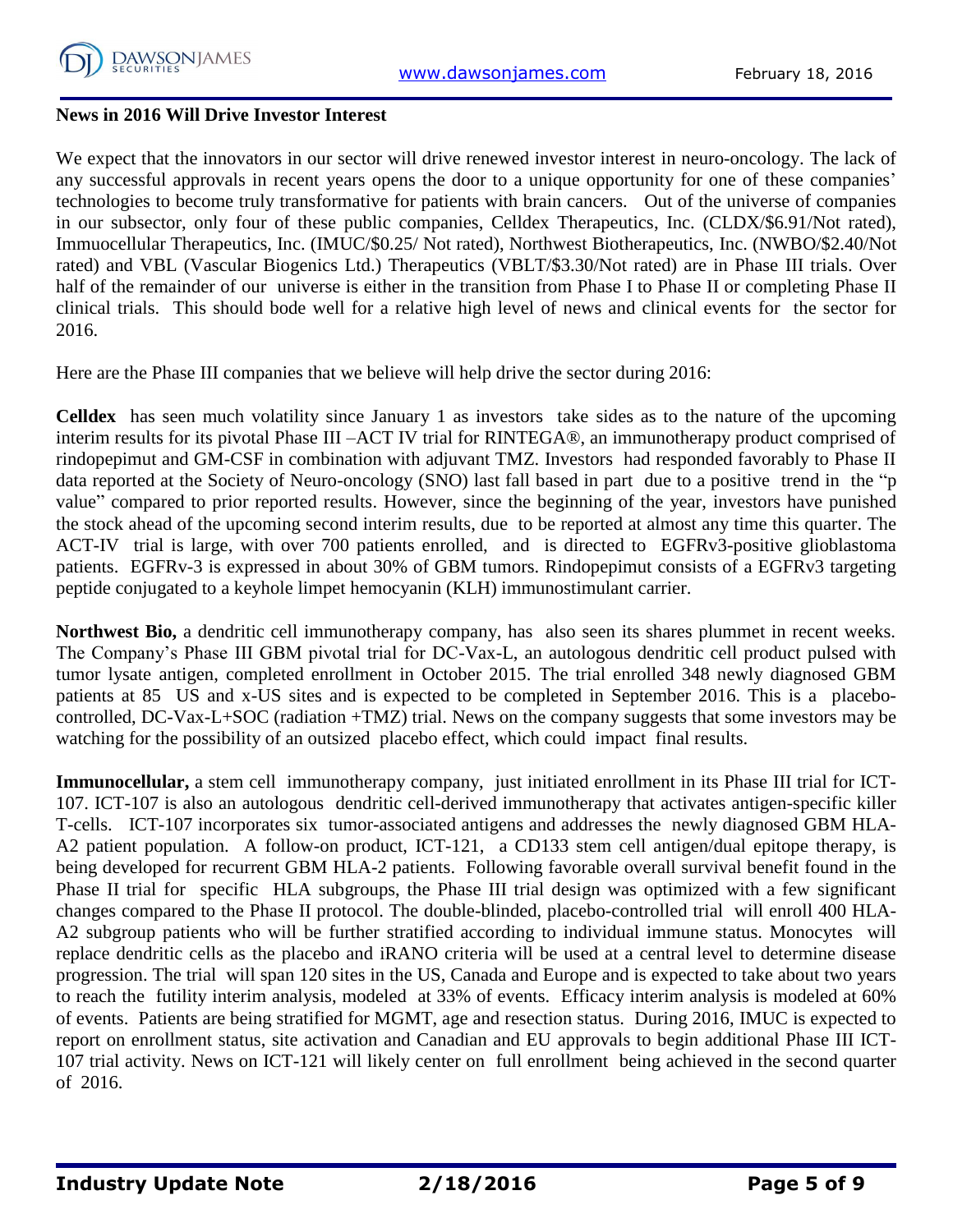

#### **News in 2016 Will Drive Investor Interest**

We expect that the innovators in our sector will drive renewed investor interest in neuro-oncology. The lack of any successful approvals in recent years opens the door to a unique opportunity for one of these companies' technologies to become truly transformative for patients with brain cancers. Out of the universe of companies in our subsector, only four of these public companies, Celldex Therapeutics, Inc. (CLDX/\$6.91/Not rated), Immuocellular Therapeutics, Inc. (IMUC/\$0.25/ Not rated), Northwest Biotherapeutics, Inc. (NWBO/\$2.40/Not rated) and VBL (Vascular Biogenics Ltd.) Therapeutics (VBLT/\$3.30/Not rated) are in Phase III trials. Over half of the remainder of our universe is either in the transition from Phase I to Phase II or completing Phase II clinical trials. This should bode well for a relative high level of news and clinical events for the sector for 2016.

Here are the Phase III companies that we believe will help drive the sector during 2016:

**Celldex** has seen much volatility since January 1 as investors take sides as to the nature of the upcoming interim results for its pivotal Phase III –ACT IV trial for RINTEGA®, an immunotherapy product comprised of rindopepimut and GM-CSF in combination with adjuvant TMZ. Investors had responded favorably to Phase II data reported at the Society of Neuro-oncology (SNO) last fall based in part due to a positive trend in the "p value" compared to prior reported results. However, since the beginning of the year, investors have punished the stock ahead of the upcoming second interim results, due to be reported at almost any time this quarter. The ACT-IV trial is large, with over 700 patients enrolled, and is directed to EGFRv3-positive glioblastoma patients. EGFRv-3 is expressed in about 30% of GBM tumors. Rindopepimut consists of a EGFRv3 targeting peptide conjugated to a keyhole limpet hemocyanin (KLH) immunostimulant carrier.

**Northwest Bio,** a dendritic cell immunotherapy company, has also seen its shares plummet in recent weeks. The Company's Phase III GBM pivotal trial for DC-Vax-L, an autologous dendritic cell product pulsed with tumor lysate antigen, completed enrollment in October 2015. The trial enrolled 348 newly diagnosed GBM patients at 85 US and x-US sites and is expected to be completed in September 2016. This is a placebocontrolled, DC-Vax-L+SOC (radiation +TMZ) trial. News on the company suggests that some investors may be watching for the possibility of an outsized placebo effect, which could impact final results.

**Immunocellular,** a stem cell immunotherapy company, just initiated enrollment in its Phase III trial for ICT-107. ICT-107 is also an autologous dendritic cell-derived immunotherapy that activates antigen-specific killer T-cells. ICT-107 incorporates six tumor-associated antigens and addresses the newly diagnosed GBM HLA-A2 patient population. A follow-on product, ICT-121, a CD133 stem cell antigen/dual epitope therapy, is being developed for recurrent GBM HLA-2 patients. Following favorable overall survival benefit found in the Phase II trial for specific HLA subgroups, the Phase III trial design was optimized with a few significant changes compared to the Phase II protocol. The double-blinded, placebo-controlled trial will enroll 400 HLA-A2 subgroup patients who will be further stratified according to individual immune status. Monocytes will replace dendritic cells as the placebo and iRANO criteria will be used at a central level to determine disease progression. The trial will span 120 sites in the US, Canada and Europe and is expected to take about two years to reach the futility interim analysis, modeled at 33% of events. Efficacy interim analysis is modeled at 60% of events. Patients are being stratified for MGMT, age and resection status. During 2016, IMUC is expected to report on enrollment status, site activation and Canadian and EU approvals to begin additional Phase III ICT-107 trial activity. News on ICT-121 will likely center on full enrollment being achieved in the second quarter of 2016.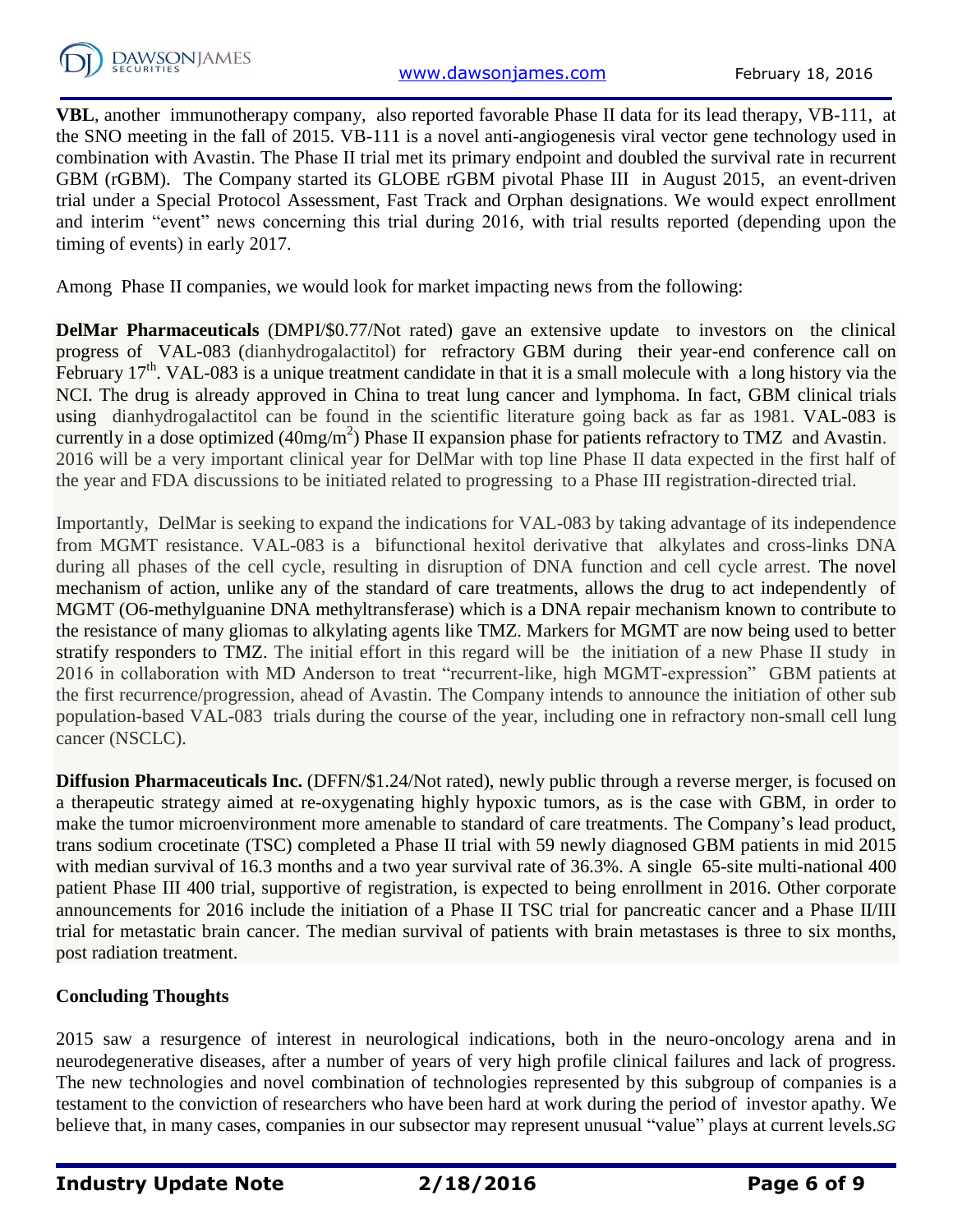

**VBL**, another immunotherapy company, also reported favorable Phase II data for its lead therapy, VB-111, at the SNO meeting in the fall of 2015. VB-111 is a novel anti-angiogenesis viral vector gene technology used in combination with Avastin. The Phase II trial met its primary endpoint and doubled the survival rate in recurrent GBM (rGBM). The Company started its GLOBE rGBM pivotal Phase III in August 2015, an event-driven trial under a Special Protocol Assessment, Fast Track and Orphan designations. We would expect enrollment and interim "event" news concerning this trial during 2016, with trial results reported (depending upon the timing of events) in early 2017.

Among Phase II companies, we would look for market impacting news from the following:

**DelMar Pharmaceuticals** (DMPI/\$0.77/Not rated) gave an extensive update to investors on the clinical progress of VAL-083 (dianhydrogalactitol) for refractory GBM during their year-end conference call on February 17<sup>th</sup>. VAL-083 is a unique treatment candidate in that it is a small molecule with a long history via the NCI. The drug is already approved in China to treat lung cancer and lymphoma. In fact, GBM clinical trials using dianhydrogalactitol can be found in the scientific literature going back as far as 1981. VAL-083 is currently in a dose optimized (40mg/m<sup>2</sup>) Phase II expansion phase for patients refractory to TMZ and Avastin. 2016 will be a very important clinical year for DelMar with top line Phase II data expected in the first half of the year and FDA discussions to be initiated related to progressing to a Phase III registration-directed trial.

Importantly, DelMar is seeking to expand the indications for VAL-083 by taking advantage of its independence from MGMT resistance. VAL-083 is a bifunctional hexitol derivative that alkylates and cross-links DNA during all phases of the cell cycle, resulting in disruption of DNA function and cell cycle arrest. The novel mechanism of action, unlike any of the standard of care treatments, allows the drug to act independently of MGMT (O6-methylguanine DNA methyltransferase) which is a DNA repair mechanism known to contribute to the resistance of many gliomas to alkylating agents like TMZ. Markers for MGMT are now being used to better stratify responders to TMZ. The initial effort in this regard will be the initiation of a new Phase II study in 2016 in collaboration with MD Anderson to treat "recurrent-like, high MGMT-expression" GBM patients at the first recurrence/progression, ahead of Avastin. The Company intends to announce the initiation of other sub population-based VAL-083 trials during the course of the year, including one in refractory non-small cell lung cancer (NSCLC).

**Diffusion Pharmaceuticals Inc.** (DFFN/\$1.24/Not rated), newly public through a reverse merger, is focused on a therapeutic strategy aimed at re-oxygenating highly hypoxic tumors, as is the case with GBM, in order to make the tumor microenvironment more amenable to standard of care treatments. The Company's lead product, trans sodium crocetinate (TSC) completed a Phase II trial with 59 newly diagnosed GBM patients in mid 2015 with median survival of 16.3 months and a two year survival rate of 36.3%. A single 65-site multi-national 400 patient Phase III 400 trial, supportive of registration, is expected to being enrollment in 2016. Other corporate announcements for 2016 include the initiation of a Phase II TSC trial for pancreatic cancer and a Phase II/III trial for metastatic brain cancer. The median survival of patients with brain metastases is three to six months, post radiation treatment.

## **Concluding Thoughts**

2015 saw a resurgence of interest in neurological indications, both in the neuro-oncology arena and in neurodegenerative diseases, after a number of years of very high profile clinical failures and lack of progress. The new technologies and novel combination of technologies represented by this subgroup of companies is a testament to the conviction of researchers who have been hard at work during the period of investor apathy. We believe that, in many cases, companies in our subsector may represent unusual "value" plays at current levels.*SG*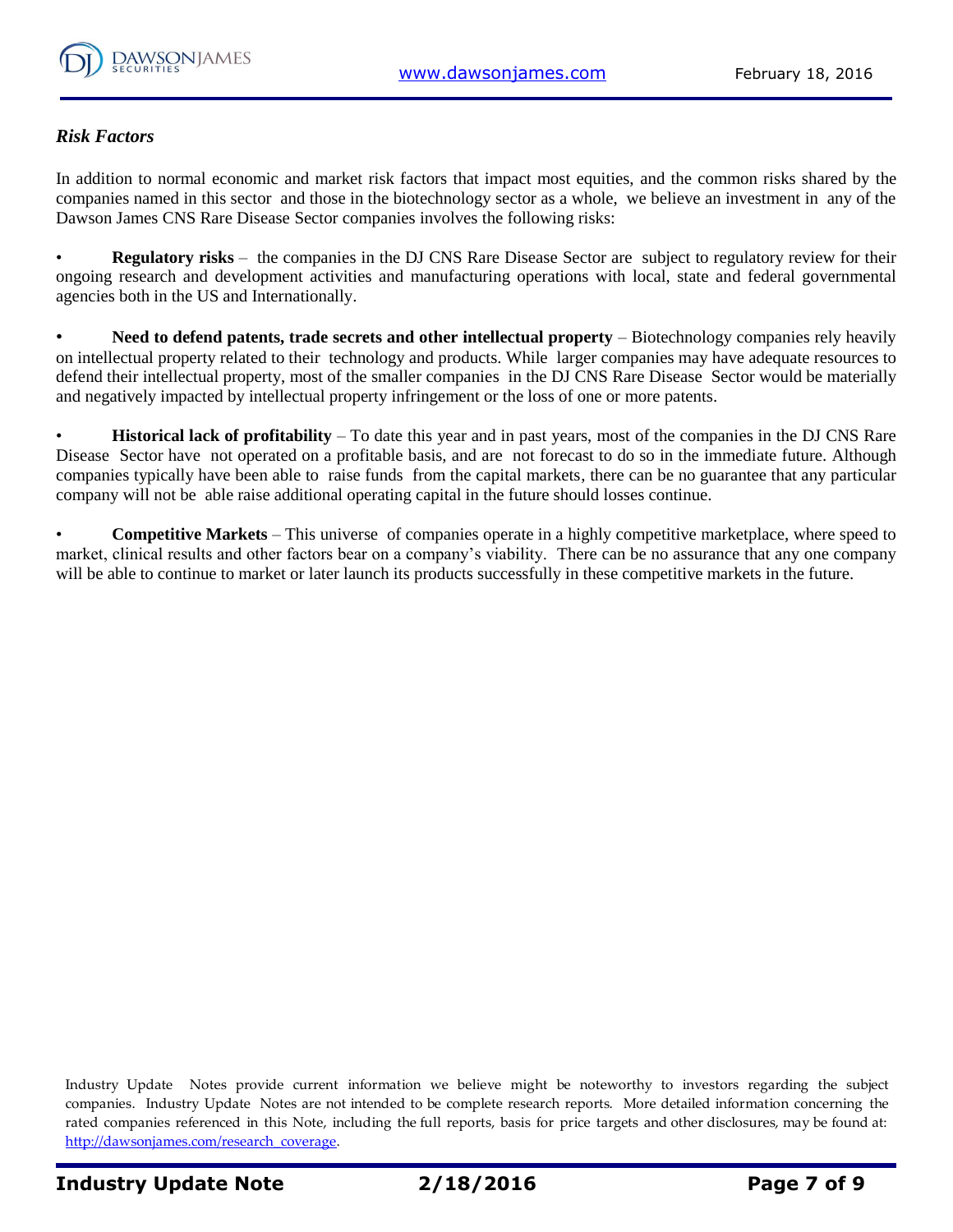

#### *Risk Factors*

In addition to normal economic and market risk factors that impact most equities, and the common risks shared by the companies named in this sector and those in the biotechnology sector as a whole, we believe an investment in any of the Dawson James CNS Rare Disease Sector companies involves the following risks:

• **Regulatory risks** – the companies in the DJ CNS Rare Disease Sector are subject to regulatory review for their ongoing research and development activities and manufacturing operations with local, state and federal governmental agencies both in the US and Internationally.

• **Need to defend patents, trade secrets and other intellectual property** – Biotechnology companies rely heavily on intellectual property related to their technology and products. While larger companies may have adequate resources to defend their intellectual property, most of the smaller companies in the DJ CNS Rare Disease Sector would be materially and negatively impacted by intellectual property infringement or the loss of one or more patents.

• **Historical lack of profitability** – To date this year and in past years, most of the companies in the DJ CNS Rare Disease Sector have not operated on a profitable basis, and are not forecast to do so in the immediate future. Although companies typically have been able to raise funds from the capital markets, there can be no guarantee that any particular company will not be able raise additional operating capital in the future should losses continue.

• **Competitive Markets** – This universe of companies operate in a highly competitive marketplace, where speed to market, clinical results and other factors bear on a company's viability. There can be no assurance that any one company will be able to continue to market or later launch its products successfully in these competitive markets in the future.

Industry Update Notes provide current information we believe might be noteworthy to investors regarding the subject companies. Industry Update Notes are not intended to be complete research reports. More detailed information concerning the rated companies referenced in this Note, including the full reports, basis for price targets and other disclosures, may be found at: [http://dawsonjames.com/research\\_coverage.](http://dawsonjames.com/research_coverage)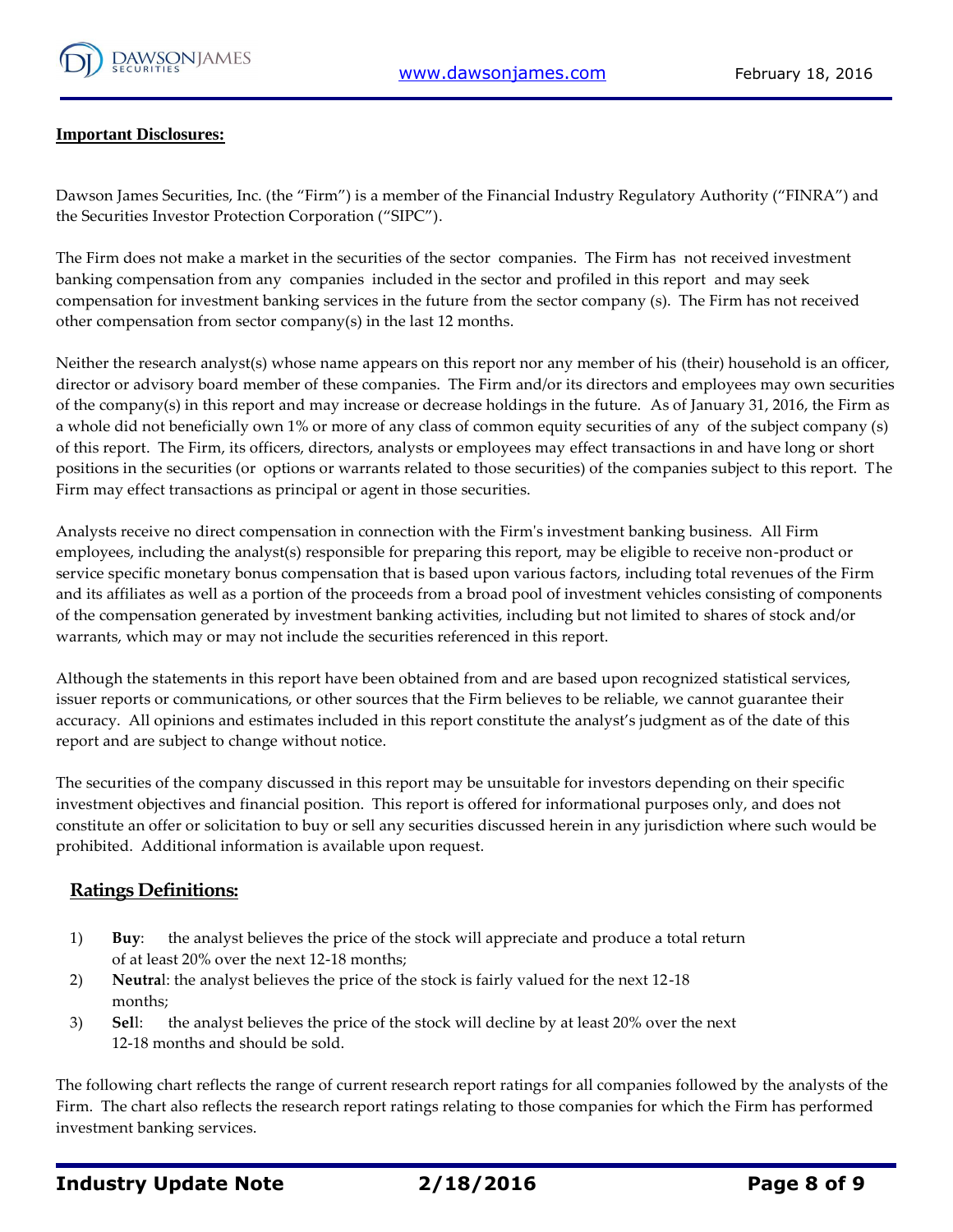

#### **Important Disclosures:**

Dawson James Securities, Inc. (the "Firm") is a member of the Financial Industry Regulatory Authority ("FINRA") and the Securities Investor Protection Corporation ("SIPC").

The Firm does not make a market in the securities of the sector companies. The Firm has not received investment banking compensation from any companies included in the sector and profiled in this report and may seek compensation for investment banking services in the future from the sector company (s). The Firm has not received other compensation from sector company(s) in the last 12 months.

Neither the research analyst(s) whose name appears on this report nor any member of his (their) household is an officer, director or advisory board member of these companies. The Firm and/or its directors and employees may own securities of the company(s) in this report and may increase or decrease holdings in the future. As of January 31, 2016, the Firm as a whole did not beneficially own 1% or more of any class of common equity securities of any of the subject company (s) of this report. The Firm, its officers, directors, analysts or employees may effect transactions in and have long or short positions in the securities (or options or warrants related to those securities) of the companies subject to this report. The Firm may effect transactions as principal or agent in those securities.

Analysts receive no direct compensation in connection with the Firm's investment banking business. All Firm employees, including the analyst(s) responsible for preparing this report, may be eligible to receive non-product or service specific monetary bonus compensation that is based upon various factors, including total revenues of the Firm and its affiliates as well as a portion of the proceeds from a broad pool of investment vehicles consisting of components of the compensation generated by investment banking activities, including but not limited to shares of stock and/or warrants, which may or may not include the securities referenced in this report.

Although the statements in this report have been obtained from and are based upon recognized statistical services, issuer reports or communications, or other sources that the Firm believes to be reliable, we cannot guarantee their accuracy. All opinions and estimates included in this report constitute the analyst's judgment as of the date of this report and are subject to change without notice.

The securities of the company discussed in this report may be unsuitable for investors depending on their specific investment objectives and financial position. This report is offered for informational purposes only, and does not constitute an offer or solicitation to buy or sell any securities discussed herein in any jurisdiction where such would be prohibited. Additional information is available upon request.

#### **Ratings Definitions:**

- 1) **Buy**: the analyst believes the price of the stock will appreciate and produce a total return of at least 20% over the next 12-18 months;
- 2) **Neutra**l: the analyst believes the price of the stock is fairly valued for the next 12-18 months;
- 3) **Sel**l: the analyst believes the price of the stock will decline by at least 20% over the next 12-18 months and should be sold.

The following chart reflects the range of current research report ratings for all companies followed by the analysts of the Firm. The chart also reflects the research report ratings relating to those companies for which the Firm has performed investment banking services.